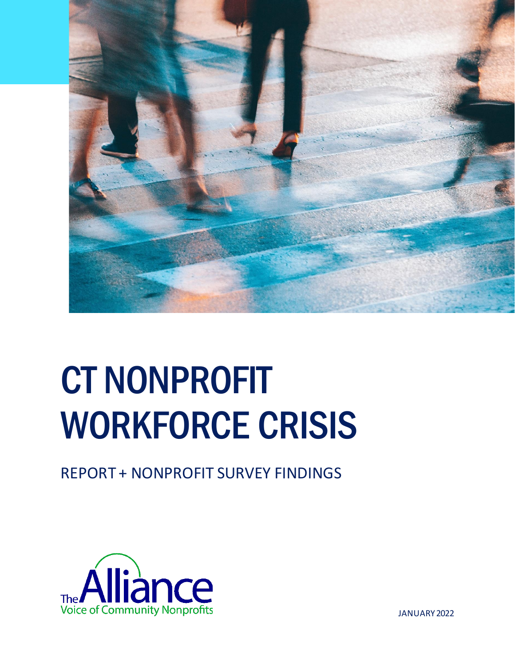

## CT NONPROFIT WORKFORCE CRISIS

REPORT + NONPROFIT SURVEY FINDINGS



JANUARY 2022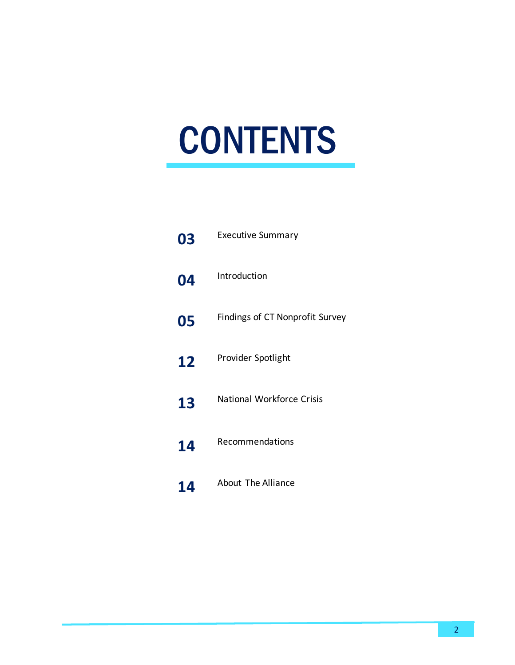# **CONTENTS**

| 03 | <b>Executive Summary</b>         |
|----|----------------------------------|
| 04 | Introduction                     |
| 05 | Findings of CT Nonprofit Survey  |
| 12 | Provider Spotlight               |
| 13 | <b>National Workforce Crisis</b> |
| 14 | Recommendations                  |
| 14 | <b>About The Alliance</b>        |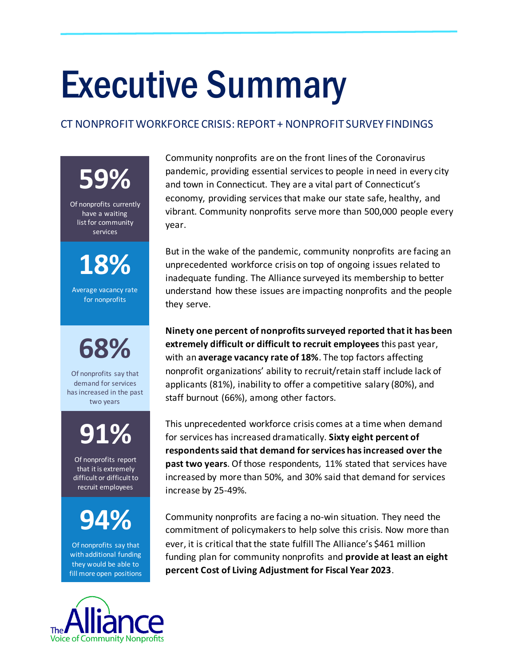## Executive Summary

#### CT NONPROFIT WORKFORCE CRISIS: REPORT + NONPROFIT SURVEY FINDINGS

**59%**

Of nonprofits currently have a waiting list for community services

**18%**

Average vacancy rate for nonprofits

**68%**

Of nonprofits say that demand for services has increased in the past two years

### **91%**

Of nonprofits report that it is extremely difficult or difficult to recruit employees

### **94%**

Of nonprofits say that with additional funding they would be able to fill more open positions

Community nonprofits are on the front lines of the Coronavirus pandemic, providing essential services to people in need in every city and town in Connecticut. They are a vital part of Connecticut's economy, providing services that make our state safe, healthy, and vibrant. Community nonprofits serve more than 500,000 people every year.

But in the wake of the pandemic, community nonprofits are facing an unprecedented workforce crisis on top of ongoing issues related to inadequate funding. The Alliance surveyed its membership to better understand how these issues are impacting nonprofits and the people they serve.

**Ninety one percent of nonprofits surveyed reported that it has been extremely difficult or difficult to recruit employees** this past year, with an **average vacancy rate of 18%**. The top factors affecting nonprofit organizations' ability to recruit/retain staff include lack of applicants (81%), inability to offer a competitive salary (80%), and staff burnout (66%), among other factors.

This unprecedented workforce crisis comes at a time when demand for services has increased dramatically. **Sixty eight percent of respondents said that demand for services has increased over the past two years**. Of those respondents, 11% stated that services have increased by more than 50%, and 30% said that demand for services increase by 25-49%.

Community nonprofits are facing a no-win situation. They need the commitment of policymakers to help solve this crisis. Now more than ever, it is critical that the state fulfill The Alliance's \$461 million funding plan for community nonprofits and **provide at least an eight percent Cost of Living Adjustment for Fiscal Year 2023**.

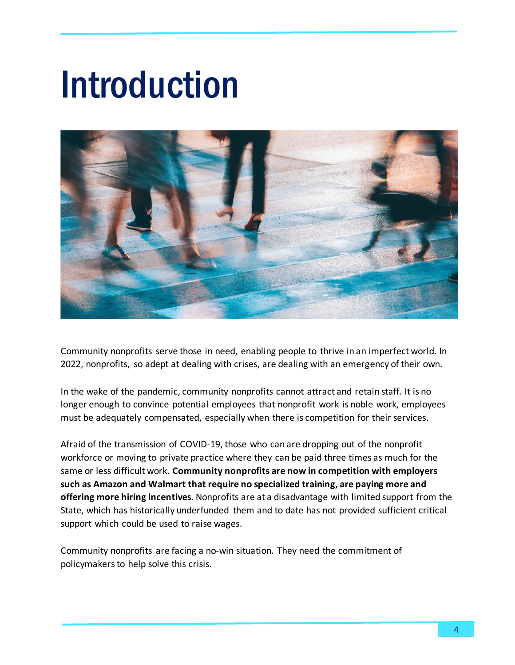## Introduction



Community nonprofits serve those in need, enabling people to thrive in an imperfect world. In 2022, nonprofits, so adept at dealing with crises, are dealing with an emergency of their own.

In the wake of the pandemic, community nonprofits cannot attract and retain staff. It is no longer enough to convince potential employees that nonprofit work is noble work, employees must be adequately compensated, especially when there is competition for their services.

Afraid of the transmission of COVID-19, those who can are dropping out of the nonprofit workforce or moving to private practice where they can be paid three times as much for the same or less difficult work. **Community nonprofits are now in competition with employers such as Amazon and Walmart that require no specialized training, are paying more and offering more hiring incentives**. Nonprofits are at a disadvantage with limited support from the State, which has historically underfunded them and to date has not provided sufficient critical support which could be used to raise wages.

Community nonprofits are facing a no-win situation. They need the commitment of policymakers to help solve this crisis.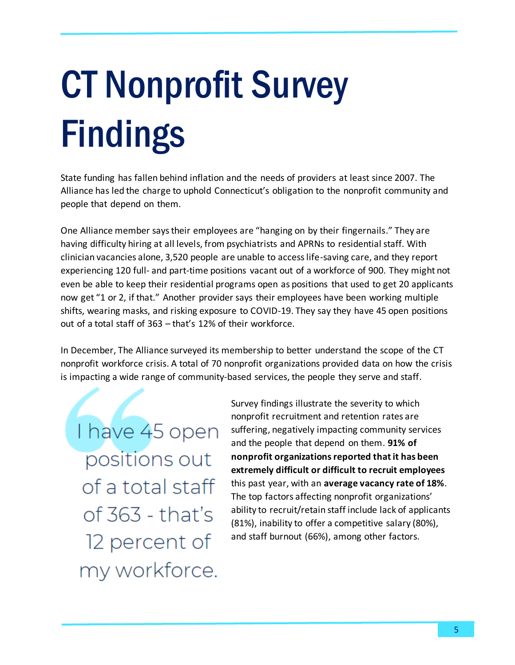# **CT Nonprofit Survey Findings**

State funding has fallen behind inflation and the needs of providers at least since 2007. The Alliance has led the charge to uphold Connecticut's obligation to the nonprofit community and people that depend on them.

One Alliance member saystheir employees are "hanging on by their fingernails." They are having difficulty hiring at all levels, from psychiatrists and APRNs to residential staff. With clinician vacancies alone, 3,520 people are unable to access life-saving care, and they report experiencing 120 full- and part-time positions vacant out of a workforce of 900. They might not even be able to keep their residential programs open as positions that used to get 20 applicants now get "1 or 2, if that." Another provider says their employees have been working multiple shifts, wearing masks, and risking exposure to COVID-19. They say they have 45 open positions out of a total staff of 363 – that's 12% of their workforce.

In December, The Alliance surveyed its membership to better understand the scope of the CT nonprofit workforce crisis. A total of 70 nonprofit organizations provided data on how the crisis is impacting a wide range of community-based services, the people they serve and staff.

I have 45 open positions out of a total staff of 363 - that's 12 percent of my workforce.

Survey findings illustrate the severity to which nonprofit recruitment and retention rates are suffering, negatively impacting community services and the people that depend on them. **91% of nonprofit organizationsreported thatit has been extremely difficult or difficult to recruit employees** this past year, with an **average vacancy rate of 18%**. The top factors affecting nonprofit organizations' ability to recruit/retain staff include lack of applicants (81%), inability to offer a competitive salary (80%), and staff burnout (66%), among other factors.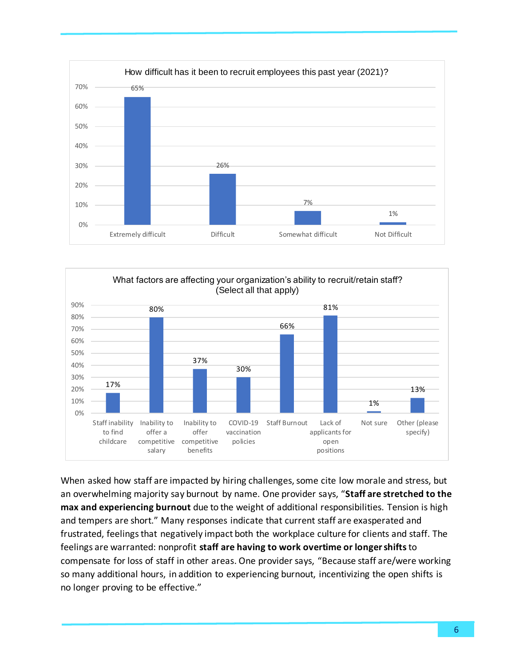



When asked how staff are impacted by hiring challenges, some cite low morale and stress, but an overwhelming majority say burnout by name. One provider says, "**Staff are stretched to the max and experiencing burnout** due to the weight of additional responsibilities. Tension is high and tempers are short." Many responses indicate that current staff are exasperated and frustrated, feelings that negatively impact both the workplace culture for clients and staff. The feelings are warranted: nonprofit **staff are having to work overtime or longer shifts**to compensate for loss of staff in other areas. One provider says, "Because staff are/were working so many additional hours, in addition to experiencing burnout, incentivizing the open shifts is no longer proving to be effective."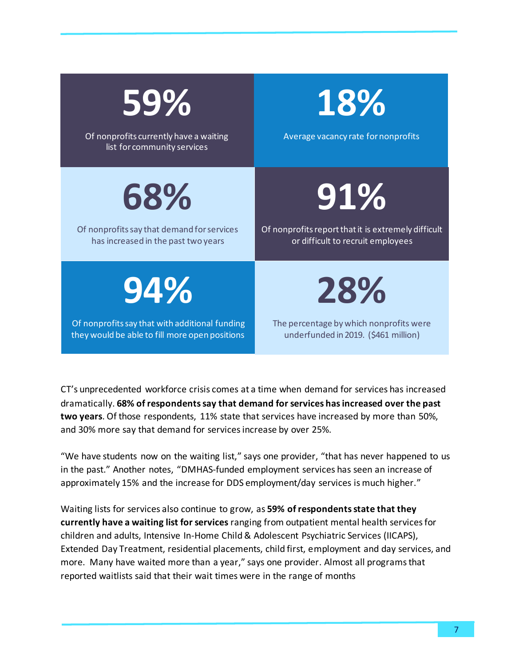| 59%<br>Of nonprofits currently have a waiting<br>list for community services | 18%<br>Average vacancy rate for nonprofits          |
|------------------------------------------------------------------------------|-----------------------------------------------------|
| 68%                                                                          | 91%                                                 |
| Of nonprofits say that demand for services                                   | Of nonprofits report that it is extremely difficult |
| has increased in the past two years                                          | or difficult to recruit employees                   |
| 94%                                                                          | 28%                                                 |
| Of nonprofits say that with additional funding                               | The percentage by which nonprofits were             |
| they would be able to fill more open positions                               | underfunded in 2019. (\$461 million)                |

CT's unprecedented workforce crisis comes at a time when demand for services has increased dramatically. **68% of respondents say that demand for services has increased over the past two years**. Of those respondents, 11% state that services have increased by more than 50%, and 30% more say that demand for services increase by over 25%.

"We have students now on the waiting list," says one provider, "that has never happened to us in the past." Another notes, "DMHAS-funded employment services has seen an increase of approximately 15% and the increase for DDS employment/day services is much higher."

Waiting lists for services also continue to grow, as **59% of respondents state that they currently have a waiting list for services** ranging from outpatient mental health services for children and adults, Intensive In-Home Child & Adolescent Psychiatric Services (IICAPS), Extended Day Treatment, residential placements, child first, employment and day services, and more. Many have waited more than a year," says one provider. Almost all programs that reported waitlists said that their wait times were in the range of months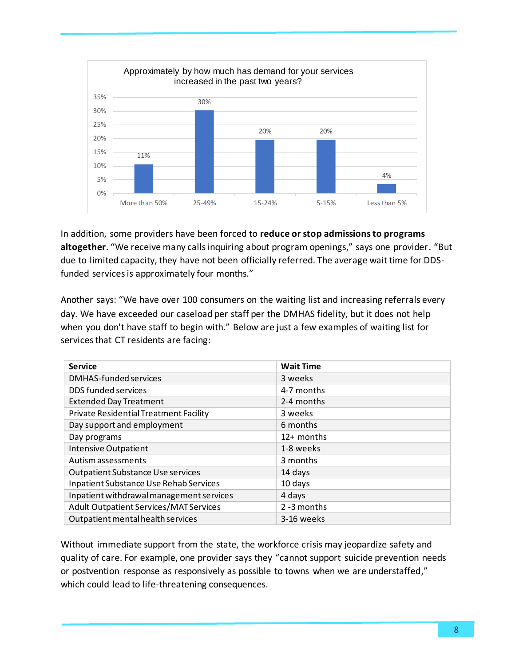

In addition, some providers have been forced to **reduce or stop admissionsto programs altogether**. "We receive many calls inquiring about program openings," says one provider. "But due to limited capacity, they have not been officially referred. The average wait time for DDSfunded services is approximately four months."

Another says: "We have over 100 consumers on the waiting list and increasing referrals every day. We have exceeded our caseload per staff per the DMHAS fidelity, but it does not help when you don't have staff to begin with." Below are just a few examples of waiting list for services that CT residents are facing:

| <b>Service</b>                                | <b>Wait Time</b> |
|-----------------------------------------------|------------------|
| <b>DMHAS-funded services</b>                  | 3 weeks          |
| DDS funded services                           | 4-7 months       |
| <b>Extended Day Treatment</b>                 | 2-4 months       |
| <b>Private Residential Treatment Facility</b> | 3 weeks          |
| Day support and employment                    | 6 months         |
| Day programs                                  | 12+ months       |
| <b>Intensive Outpatient</b>                   | 1-8 weeks        |
| Autism assessments                            | 3 months         |
| <b>Outpatient Substance Use services</b>      | 14 days          |
| Inpatient Substance Use Rehab Services        | 10 days          |
| Inpatient withdrawal management services      | 4 days           |
| Adult Outpatient Services/MAT Services        | 2 -3 months      |
| Outpatient mental health services             | 3-16 weeks       |

Without immediate support from the state, the workforce crisis may jeopardize safety and quality of care. For example, one provider says they "cannot support suicide prevention needs or postvention response as responsively as possible to towns when we are understaffed," which could lead to life-threatening consequences.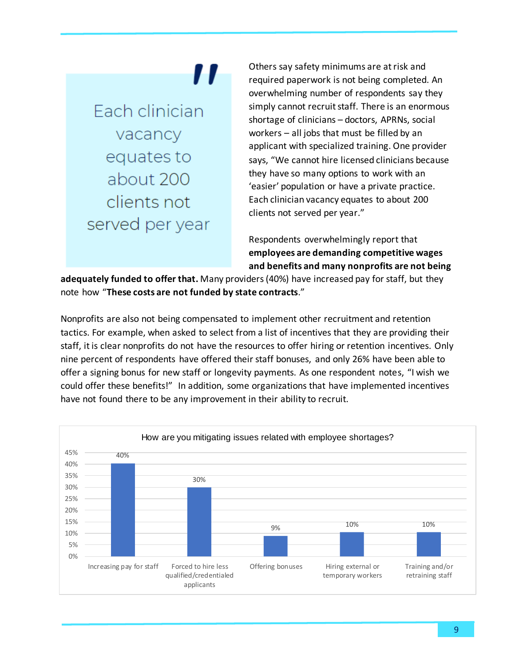### 11

Fach clinician vacancy equates to about 200 clients not served per year Others say safety minimums are at risk and required paperwork is not being completed. An overwhelming number of respondents say they simply cannot recruit staff. There is an enormous shortage of clinicians – doctors, APRNs, social workers – all jobs that must be filled by an applicant with specialized training. One provider says, "We cannot hire licensed clinicians because they have so many options to work with an 'easier' population or have a private practice. Each clinician vacancy equates to about 200 clients not served per year."

Respondents overwhelmingly report that **employees are demanding competitive wages and benefits and many nonprofits are not being** 

**adequately funded to offer that.** Many providers (40%) have increased pay for staff, but they note how "**These costs are not funded by state contracts**."

Nonprofits are also not being compensated to implement other recruitment and retention tactics. For example, when asked to select from a list of incentives that they are providing their staff, it is clear nonprofits do not have the resources to offer hiring or retention incentives. Only nine percent of respondents have offered their staff bonuses, and only 26% have been able to offer a signing bonus for new staff or longevity payments. As one respondent notes, "I wish we could offer these benefits!" In addition, some organizations that have implemented incentives have not found there to be any improvement in their ability to recruit.

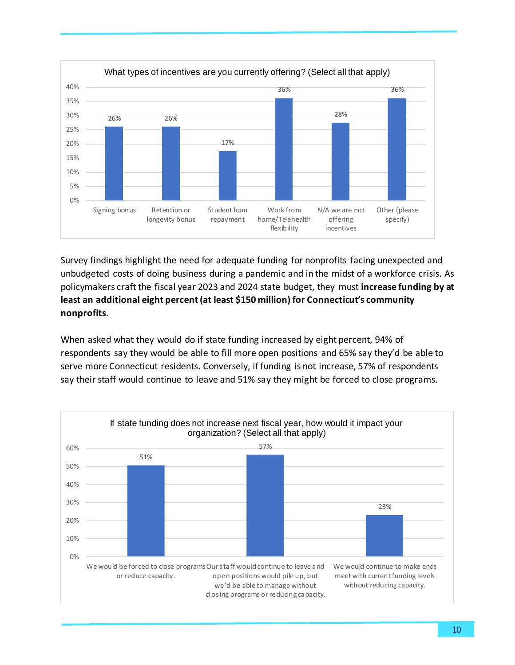

Survey findings highlight the need for adequate funding for nonprofits facing unexpected and unbudgeted costs of doing business during a pandemic and in the midst of a workforce crisis. As policymakers craft the fiscal year 2023 and 2024 state budget, they must **increase funding by at least an additional eight percent (at least \$150 million) for Connecticut's community nonprofits**.

When asked what they would do if state funding increased by eight percent, 94% of respondents say they would be able to fill more open positions and 65% say they'd be able to serve more Connecticut residents. Conversely, if funding is not increase, 57% of respondents say their staff would continue to leave and 51% say they might be forced to close programs.

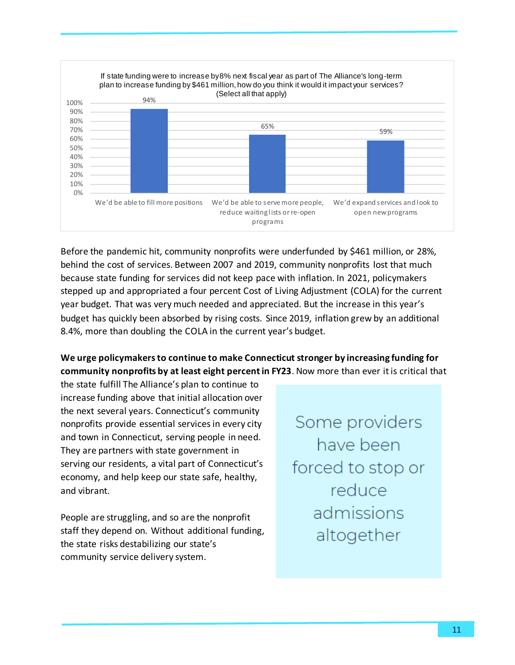

Before the pandemic hit, community nonprofits were underfunded by \$461 million, or 28%, behind the cost of services. Between 2007 and 2019, community nonprofits lost that much because state funding for services did not keep pace with inflation. In 2021, policymakers stepped up and appropriated a four percent Cost of Living Adjustment (COLA) for the current year budget. That was very much needed and appreciated. But the increase in this year's budget has quickly been absorbed by rising costs. Since 2019, inflation grew by an additional 8.4%, more than doubling the COLA in the current year's budget.

#### **We urge policymakers to continue to make Connecticut stronger by increasing funding for community nonprofits by at least eight percent in FY23**. Now more than ever it is critical that

the state fulfill The Alliance's plan to continue to increase funding above that initial allocation over the next several years. Connecticut's community nonprofits provide essential services in every city and town in Connecticut, serving people in need. They are partners with state government in serving our residents, a vital part of Connecticut's economy, and help keep our state safe, healthy, and vibrant.

People are struggling, and so are the nonprofit staff they depend on. Without additional funding, the state risks destabilizing our state's community service delivery system.

Some providers have been forced to stop or reduce admissions altogether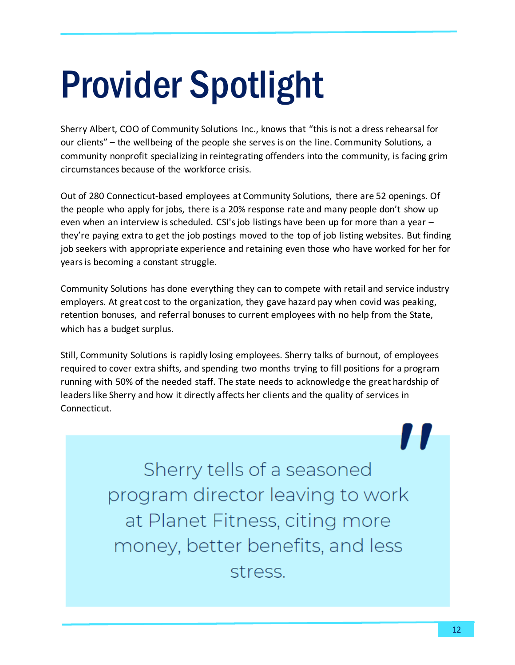## Provider Spotlight

Sherry Albert, COO of Community Solutions Inc., knows that "this is not a dress rehearsal for our clients" – the wellbeing of the people she serves is on the line. Community Solutions, a community nonprofit specializing in reintegrating offenders into the community, is facing grim circumstances because of the workforce crisis.

Out of 280 Connecticut-based employees at Community Solutions, there are 52 openings. Of the people who apply for jobs, there is a 20% response rate and many people don't show up even when an interview is scheduled. CSI's job listings have been up for more than a year – they're paying extra to get the job postings moved to the top of job listing websites. But finding job seekers with appropriate experience and retaining even those who have worked for her for years is becoming a constant struggle.

Community Solutions has done everything they can to compete with retail and service industry employers. At great cost to the organization, they gave hazard pay when covid was peaking, retention bonuses, and referral bonuses to current employees with no help from the State, which has a budget surplus.

Still, Community Solutions is rapidly losing employees. Sherry talks of burnout, of employees required to cover extra shifts, and spending two months trying to fill positions for a program running with 50% of the needed staff. The state needs to acknowledge the great hardship of leaders like Sherry and how it directly affects her clients and the quality of services in Connecticut.

> Sherry tells of a seasoned program director leaving to work at Planet Fitness, citing more money, better benefits, and less stress.

7 T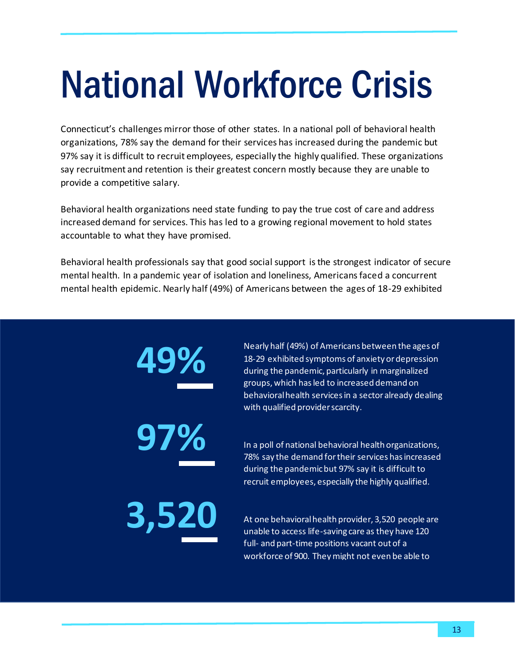## National Workforce Crisis

Connecticut's challenges mirror those of other states. In a national poll of behavioral health organizations, 78% say the demand for their services has increased during the pandemic but 97% say it is difficult to recruit employees, especially the highly qualified. These organizations say recruitment and retention is their greatest concern mostly because they are unable to provide a competitive salary.

Behavioral health organizations need state funding to pay the true cost of care and address increased demand for services. This has led to a growing regional movement to hold states accountable to what they have promised.

Behavioral health professionals say that good social support is the strongest indicator of secure mental health. In a pandemic year of isolation and loneliness, Americans faced a concurrent mental health epidemic. Nearly half (49%) of Americans between the ages of 18-29 exhibited

> **49% 97% 3,520**

Nearly half (49%) of Americans between the ages of 18-29 exhibited symptoms of anxiety or depression during the pandemic, particularly in marginalized groups, which has led to increased demand on behavioral health services in a sector already dealing with qualified provider scarcity.

In a poll of national behavioral health organizations, 78% say the demand for their services has increased during the pandemic but 97% say it is difficult to recruit employees, especially the highly qualified.

At one behavioral health provider, 3,520 people are unable to access life-saving care as they have 120 full- and part-time positions vacant out of a workforce of 900. They might not even be able to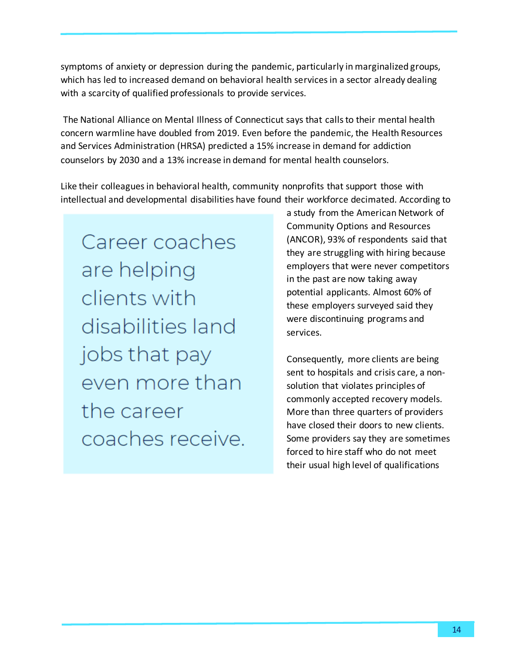symptoms of anxiety or depression during the pandemic, particularly in marginalized groups, which has led to increased demand on behavioral health services in a sector already dealing with a scarcity of qualified professionals to provide services.

The National Alliance on Mental Illness of Connecticut says that calls to their mental health concern warmline have doubled from 2019. Even before the pandemic, the Health Resources and Services Administration (HRSA) predicted a 15% increase in demand for addiction counselors by 2030 and a 13% increase in demand for mental health counselors.

Like their colleagues in behavioral health, community nonprofits that support those with intellectual and developmental disabilities have found their workforce decimated. According to

Career coaches are helping clients with disabilities land jobs that pay even more than the career coaches receive. a study from the American Network of Community Options and Resources (ANCOR), 93% of respondents said that they are struggling with hiring because employers that were never competitors in the past are now taking away potential applicants. Almost 60% of these employers surveyed said they were discontinuing programs and services.

Consequently, more clients are being sent to hospitals and crisis care, a nonsolution that violates principles of commonly accepted recovery models. More than three quarters of providers have closed their doors to new clients. Some providers say they are sometimes forced to hire staff who do not meet their usual high level of qualifications